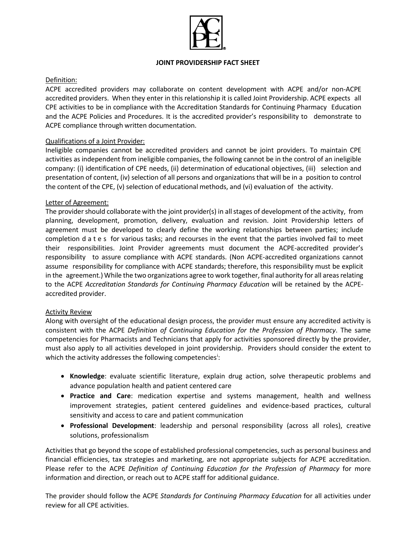

#### **JOINT PROVIDERSHIP FACT SHEET**

# Definition:

ACPE accredited providers may collaborate on content development with ACPE and/or non-ACPE accredited providers. When they enter in this relationship it is called Joint Providership. ACPE expects all CPE activities to be in compliance with the Accreditation Standards for Continuing Pharmacy Education and the ACPE Policies and Procedures. It is the accredited provider's responsibility to demonstrate to ACPE compliance through written documentation.

# Qualifications of a Joint Provider:

Ineligible companies cannot be accredited providers and cannot be joint providers. To maintain CPE activities as independent from ineligible companies, the following cannot be in the control of an ineligible company: (i) identification of CPE needs, (ii) determination of educational objectives, (iii) selection and presentation of content, (iv) selection of all persons and organizations that will be in a position to control the content of the CPE, (v) selection of educational methods, and (vi) evaluation of the activity.

### Letter of Agreement:

The provider should collaborate with the joint provider(s) in all stages of development of the activity, from planning, development, promotion, delivery, evaluation and revision. Joint Providership letters of agreement must be developed to clearly define the working relationships between parties; include completion d a t e s for various tasks; and recourses in the event that the parties involved fail to meet their responsibilities. Joint Provider agreements must document the ACPE-accredited provider's responsibility to assure compliance with ACPE standards. (Non ACPE-accredited organizations cannot assume responsibility for compliance with ACPE standards; therefore, this responsibility must be explicit in the agreement.) While the two organizations agree to work together, final authority for all areas relating to the ACPE *Accreditation Standards for Continuing Pharmacy Education* will be retained by the ACPEaccredited provider.

### Activity Review

Along with oversight of the educational design process, the provider must ensure any accredited activity is consistent with the ACPE *Definition of Continuing Education for the Profession of Pharmacy*. The same competencies for Pharmacists and Technicians that apply for activities sponsored directly by the provider, must also apply to all activities developed in joint providership. Providers should consider the extent to wh[i](#page-1-0)ch the activity addresses the following competencies<sup>i</sup>:

- **Knowledge**: evaluate scientific literature, explain drug action, solve therapeutic problems and advance population health and patient centered care
- **Practice and Care**: medication expertise and systems management, health and wellness improvement strategies, patient centered guidelines and evidence-based practices, cultural sensitivity and access to care and patient communication
- **Professional Development**: leadership and personal responsibility (across all roles), creative solutions, professionalism

Activities that go beyond the scope of established professional competencies, such as personal business and financial efficiencies, tax strategies and marketing, are not appropriate subjects for ACPE accreditation. Please refer to the ACPE *Definition of Continuing Education for the Profession of Pharmacy* for more information and direction, or reach out to ACPE staff for additional guidance.

The provider should follow the ACPE *Standards for Continuing Pharmacy Education* for all activities under review for all CPE activities.